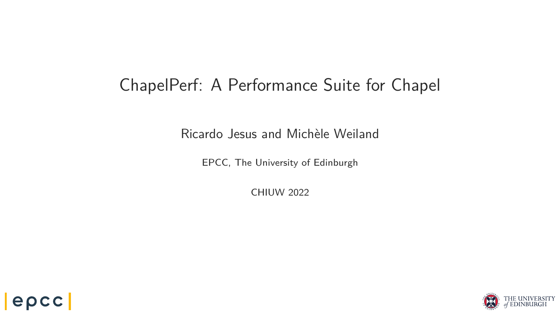## <span id="page-0-0"></span>ChapelPerf: A Performance Suite for Chapel

Ricardo Jesus and Michèle Weiland

EPCC, The University of Edinburgh

CHIUW 2022



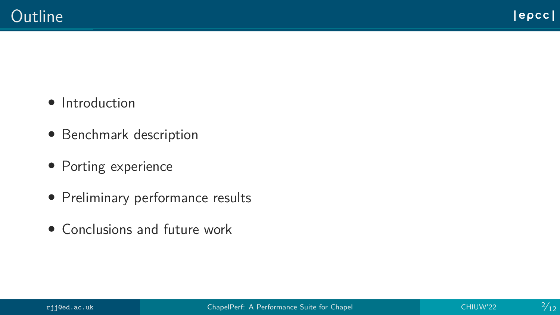- Introduction
- Benchmark description
- Porting experience
- Preliminary performance results
- Conclusions and future work

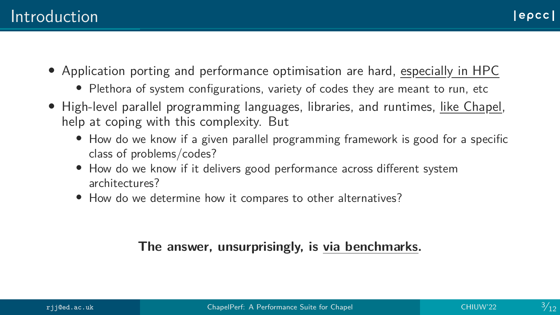- Application porting and performance optimisation are hard, especially in HPC
	- Plethora of system configurations, variety of codes they are meant to run, etc
- High-level parallel programming languages, libraries, and runtimes, like Chapel, help at coping with this complexity. But
	- How do we know if a given parallel programming framework is good for a specific class of problems/codes?
	- How do we know if it delivers good performance across different system architectures?
	- How do we determine how it compares to other alternatives?

### **The answer, unsurprisingly, is via benchmarks benchmarks.**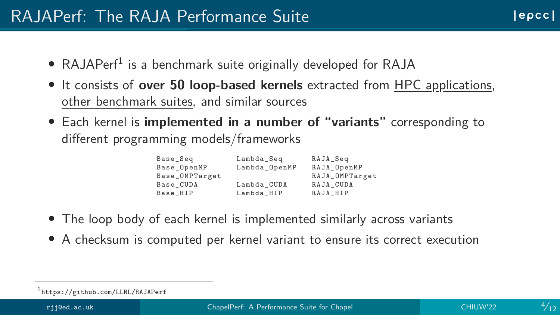- RAJAPerf<sup>1</sup> is a benchmark suite originally developed for RAJA
- It consists of **over 50 loop-based kernels** extracted from HPC applications, other benchmark suites, and similar sources
- Each kernel is **implemented in a number of "variants"** corresponding to different programming models/frameworks

| Lambda_OpenMP<br>RAJA OpenMP<br>Base OpenMP |  |
|---------------------------------------------|--|
|                                             |  |
| RAJA_OMPTarget<br>Base_OMPTarget            |  |
| Lambda_CUDA<br>RAJA_CUDA<br>Base_CUDA       |  |
| RAJA_HIP<br>Lambda HIP<br>Base_HIP          |  |

- The loop body of each kernel is implemented similarly across variants
- A checksum is computed per kernel variant to ensure its correct execution

<sup>1</sup> <https://github.com/LLNL/RAJAPerf>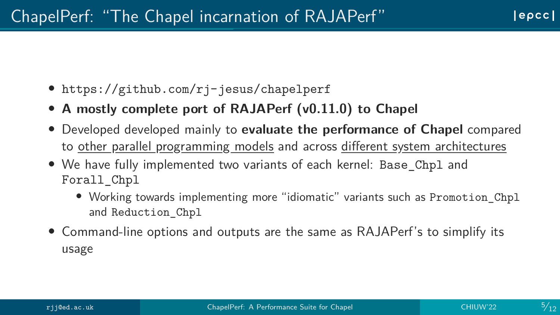- <https://github.com/rj-jesus/chapelperf>
- **A mostly complete port of RAJAPerf (v0.11.0) to Chapel**
- Developed developed mainly to **evaluate the performance of Chapel** compared to other parallel programming models and across different system architectures
- We have fully implemented two variants of each kernel: Base\_Chpl and Forall\_Chpl
	- Working towards implementing more "idiomatic" variants such as Promotion\_Chpl and Reduction\_Chpl
- Command-line options and outputs are the same as RAJAPerf's to simplify its usage

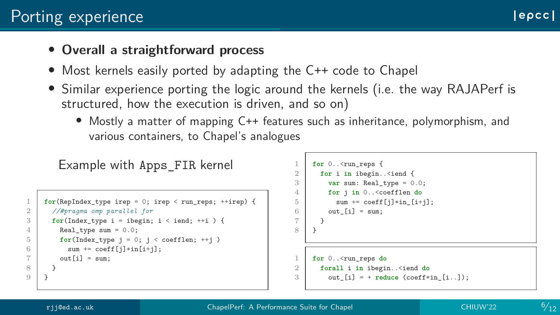#### • **Overall a straightforward process**

- Most kernels easily ported by adapting the C++ code to Chapel
- Similar experience porting the logic around the kernels (i.e. the way RAJAPerf is structured, how the execution is driven, and so on)
	- Mostly a matter of mapping C++ features such as inheritance, polymorphism, and various containers, to Chapel's analogues

```
Example with Apps_FIR kernel
    for(RepIndex type irep = 0; irep < run reps; ++irep) {
2 //#pragma omp parallel for
3 \mid for(Index_type i = ibegin; i < iend; ++i) {
4 Real type sum = 0.0;
5 for(Index_type j = 0; j < coefflen; ++j)
6 sum \leftarrow{ = \text{coeff}[i]*in[i+i]};
7 \mid \text{out}[i] = \text{sum}
```

```
for 0..< run_reps {
       for i in ibegin..<iend {
3 \mid \text{var sum: Real type} = 0.0;
         4 for j in 0..<coefflen do
5 \mid sum \pm coeff[i]\astin [i+j];
6 \mid out [i] = \text{sum};
\overline{7}\alphafor 0..<run_reps do
2 forall i in ibegin..<iend do
3 \mid out [i] = + reduce (coeff*in [i..]);
```
8 }  $Q$ 

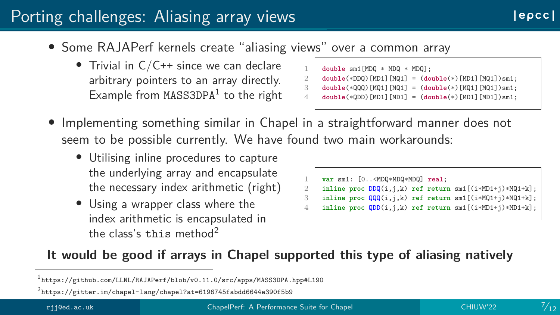### Porting challenges: Aliasing array views

- Some RAJAPerf kernels create "aliasing views" over a common array
	- Trivial in C/C++ since we can declare arbitrary pointers to an array directly.  $Example from MASS3DPA<sup>1</sup>$  to the right

```
\begin{array}{c|c} 1 & \text{double sm1[MDQ * MDQ * MDQ];} \\ 2 & \text{double(*DDQ) [MD1] [MD11 = (do)]} \end{array}2 double(*DDQ)[MD1][MQ1] = (double(*)[MD1][MQ1])sm1;
      3 double(*QQQ)[MQ1][MQ1] = (double(*)[MQ1][MQ1])sm1;
      4 double(*QDD)[MD1][MD1] = (double(*)[MD1][MD1])sm1;
```
- Implementing something similar in Chapel in a straightforward manner does not seem to be possible currently. We have found two main workarounds:
	- Utilising inline procedures to capture the underlying array and encapsulate the necessary index arithmetic (right)
	- Using a wrapper class where the index arithmetic is encapsulated in the class's this method<sup>2</sup>

```
1 var sm1: [0..<MDQ*MDQ*MDQ] real;
    2 inline proc DDQ(i,j,k) ref return sm1[(i*MD1+j)*MQ1+k];
    3 inline proc QQQ(i,j,k) ref return sm1[(i*MQ1+j)*MQ1+k];
    4 inline proc QDD(i,j,k) ref return sm1[(i*MD1+j)*MD1+k];
```
#### **It would be good if arrays in Chapel supported this type of aliasing natively**

 $^{2}$ <https://gitter.im/chapel-lang/chapel?at=6196745fabdd6644e390f5b9>

<sup>1</sup> <https://github.com/LLNL/RAJAPerf/blob/v0.11.0/src/apps/MASS3DPA.hpp#L190>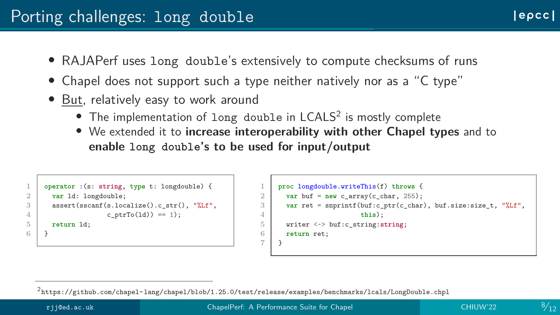- RAJAPerf uses long double's extensively to compute checksums of runs
- Chapel does not support such a type neither natively nor as a "C type"
- But, relatively easy to work around
	- $\bullet$  The implementation of long double in LCALS<sup>2</sup> is mostly complete
	- We extended it to **increase interoperability with other Chapel types** and to **enable long double's to be used for input/output**

```
1 operator :(s: string, type t: longdouble) {
2 var ld: longdouble;
3 assert(sscanf(s.localize().c_str(), "%Lf",
4 c_ptrTo(ld)) == 1);
5 return ld;
6 }
```

```
1 proc longdouble.writeThis(f) throws {
2 \mid var buf = new c array(c char, 255);
3 var ret = snprintf(buf:c ptr(c char), buf.size:size t, "%Lf",
4 this);
5 writer <~> buf:c_string:string;
6 return ret;
\overline{7}
```
<sup>2</sup> <https://github.com/chapel-lang/chapel/blob/1.25.0/test/release/examples/benchmarks/lcals/LongDouble.chpl>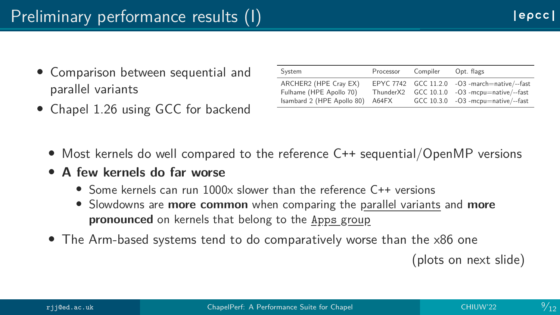- Comparison between sequential and parallel variants
- Chapel 1.26 using GCC for backend

| System                                                                         | Processor                      | Compiler | Opt. flags                                                                                                                   |
|--------------------------------------------------------------------------------|--------------------------------|----------|------------------------------------------------------------------------------------------------------------------------------|
| ARCHER2 (HPE Cray EX)<br>Fulhame (HPE Apollo 70)<br>Isambard 2 (HPE Apollo 80) | Thunder <sub>X2</sub><br>A64FX |          | EPYC 7742 GCC 11.2.0 - O3 -march=native/--fast<br>$GCC 10.1.0 -O3$ -mcpu=native/--fast<br>GCC 10.3.0 -O3 -mcpu=native/--fast |

- Most kernels do well compared to the reference C++ sequential/OpenMP versions
- **A few kernels do far worse**
	- Some kernels can run 1000x slower than the reference C++ versions
	- Slowdowns are **more common** when comparing the parallel variants and **more pronounced** on kernels that belong to the Apps group
- The Arm-based systems tend to do comparatively worse than the x86 one

(plots on next slide)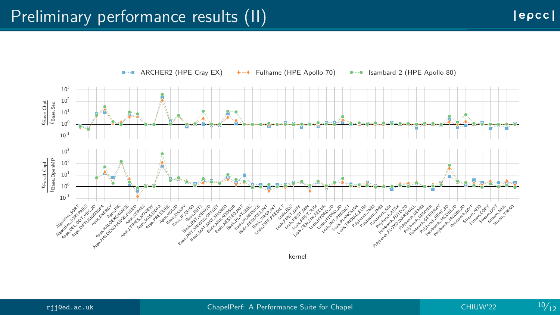

ARCHER2 (HPE Cray EX)  $\longrightarrow$  Fulhame (HPE Apollo 70)  $\longrightarrow$  Isambard 2 (HPE Apollo 80) **Contract** 



 $|e\rho cc|$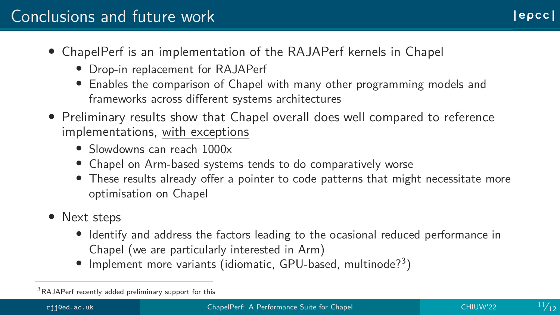### Conclusions and future work

- ChapelPerf is an implementation of the RAJAPerf kernels in Chapel
	- Drop-in replacement for RAJAPerf
	- Enables the comparison of Chapel with many other programming models and frameworks across different systems architectures
- Preliminary results show that Chapel overall does well compared to reference implementations, with exceptions
	- Slowdowns can reach 1000x
	- Chapel on Arm-based systems tends to do comparatively worse
	- These results already offer a pointer to code patterns that might necessitate more optimisation on Chapel
- Next steps
	- Identify and address the factors leading to the ocasional reduced performance in Chapel (we are particularly interested in Arm)
	- $\bullet$  Implement more variants (idiomatic, GPU-based, multinode?<sup>3</sup>)



lepccl

<sup>3</sup>RAJAPerf recently added preliminary support for this